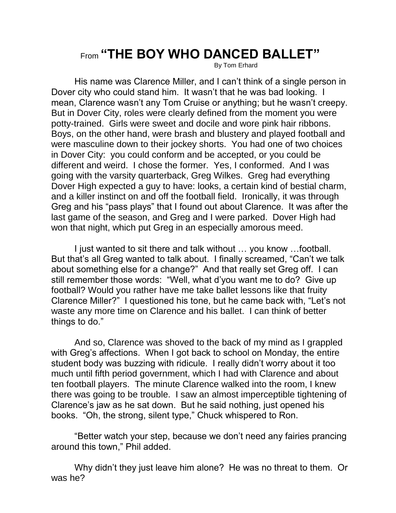## From **"THE BOY WHO DANCED BALLET"**

By Tom Erhard

His name was Clarence Miller, and I can't think of a single person in Dover city who could stand him. It wasn't that he was bad looking. I mean, Clarence wasn't any Tom Cruise or anything; but he wasn't creepy. But in Dover City, roles were clearly defined from the moment you were potty-trained. Girls were sweet and docile and wore pink hair ribbons. Boys, on the other hand, were brash and blustery and played football and were masculine down to their jockey shorts. You had one of two choices in Dover City: you could conform and be accepted, or you could be different and weird. I chose the former. Yes, I conformed. And I was going with the varsity quarterback, Greg Wilkes. Greg had everything Dover High expected a guy to have: looks, a certain kind of bestial charm, and a killer instinct on and off the football field. Ironically, it was through Greg and his "pass plays" that I found out about Clarence. It was after the last game of the season, and Greg and I were parked. Dover High had won that night, which put Greg in an especially amorous meed.

I just wanted to sit there and talk without … you know …football. But that's all Greg wanted to talk about. I finally screamed, "Can't we talk about something else for a change?" And that really set Greg off. I can still remember those words: "Well, what d'you want me to do? Give up football? Would you rather have me take ballet lessons like that fruity Clarence Miller?" I questioned his tone, but he came back with, "Let's not waste any more time on Clarence and his ballet. I can think of better things to do."

And so, Clarence was shoved to the back of my mind as I grappled with Greg's affections. When I got back to school on Monday, the entire student body was buzzing with ridicule. I really didn't worry about it too much until fifth period government, which I had with Clarence and about ten football players. The minute Clarence walked into the room, I knew there was going to be trouble. I saw an almost imperceptible tightening of Clarence's jaw as he sat down. But he said nothing, just opened his books. "Oh, the strong, silent type," Chuck whispered to Ron.

"Better watch your step, because we don't need any fairies prancing around this town," Phil added.

Why didn't they just leave him alone? He was no threat to them. Or was he?